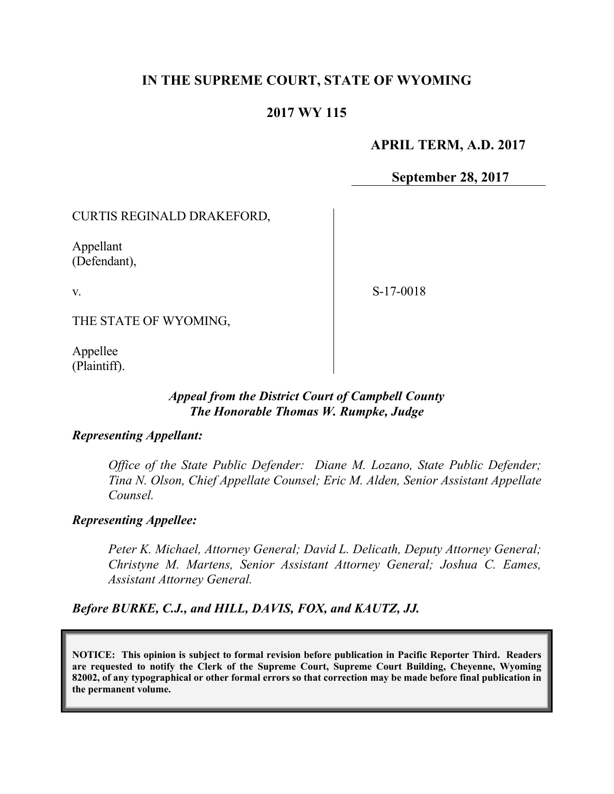# **IN THE SUPREME COURT, STATE OF WYOMING**

## **2017 WY 115**

## **APRIL TERM, A.D. 2017**

**September 28, 2017**

CURTIS REGINALD DRAKEFORD,

Appellant (Defendant),

v.

S-17-0018

THE STATE OF WYOMING,

Appellee (Plaintiff).

#### *Appeal from the District Court of Campbell County The Honorable Thomas W. Rumpke, Judge*

#### *Representing Appellant:*

*Office of the State Public Defender: Diane M. Lozano, State Public Defender; Tina N. Olson, Chief Appellate Counsel; Eric M. Alden, Senior Assistant Appellate Counsel.*

## *Representing Appellee:*

*Peter K. Michael, Attorney General; David L. Delicath, Deputy Attorney General; Christyne M. Martens, Senior Assistant Attorney General; Joshua C. Eames, Assistant Attorney General.*

*Before BURKE, C.J., and HILL, DAVIS, FOX, and KAUTZ, JJ.*

**NOTICE: This opinion is subject to formal revision before publication in Pacific Reporter Third. Readers are requested to notify the Clerk of the Supreme Court, Supreme Court Building, Cheyenne, Wyoming 82002, of any typographical or other formal errors so that correction may be made before final publication in the permanent volume.**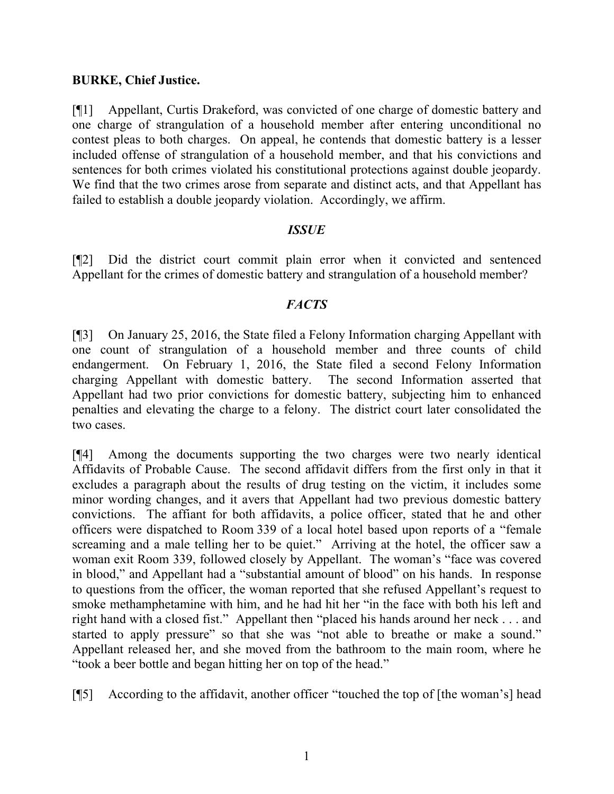#### **BURKE, Chief Justice.**

[¶1] Appellant, Curtis Drakeford, was convicted of one charge of domestic battery and one charge of strangulation of a household member after entering unconditional no contest pleas to both charges. On appeal, he contends that domestic battery is a lesser included offense of strangulation of a household member, and that his convictions and sentences for both crimes violated his constitutional protections against double jeopardy. We find that the two crimes arose from separate and distinct acts, and that Appellant has failed to establish a double jeopardy violation. Accordingly, we affirm.

#### *ISSUE*

[¶2] Did the district court commit plain error when it convicted and sentenced Appellant for the crimes of domestic battery and strangulation of a household member?

## *FACTS*

[¶3] On January 25, 2016, the State filed a Felony Information charging Appellant with one count of strangulation of a household member and three counts of child endangerment. On February 1, 2016, the State filed a second Felony Information charging Appellant with domestic battery. The second Information asserted that Appellant had two prior convictions for domestic battery, subjecting him to enhanced penalties and elevating the charge to a felony. The district court later consolidated the two cases.

[¶4] Among the documents supporting the two charges were two nearly identical Affidavits of Probable Cause. The second affidavit differs from the first only in that it excludes a paragraph about the results of drug testing on the victim, it includes some minor wording changes, and it avers that Appellant had two previous domestic battery convictions. The affiant for both affidavits, a police officer, stated that he and other officers were dispatched to Room 339 of a local hotel based upon reports of a "female screaming and a male telling her to be quiet." Arriving at the hotel, the officer saw a woman exit Room 339, followed closely by Appellant. The woman's "face was covered in blood," and Appellant had a "substantial amount of blood" on his hands. In response to questions from the officer, the woman reported that she refused Appellant's request to smoke methamphetamine with him, and he had hit her "in the face with both his left and right hand with a closed fist." Appellant then "placed his hands around her neck . . . and started to apply pressure" so that she was "not able to breathe or make a sound." Appellant released her, and she moved from the bathroom to the main room, where he "took a beer bottle and began hitting her on top of the head."

[¶5] According to the affidavit, another officer "touched the top of [the woman's] head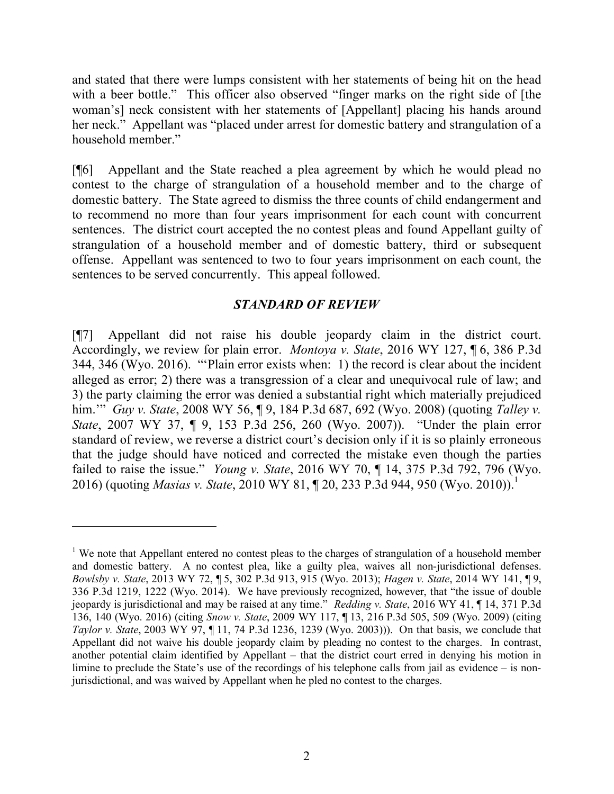and stated that there were lumps consistent with her statements of being hit on the head with a beer bottle." This officer also observed "finger marks on the right side of [the woman's] neck consistent with her statements of [Appellant] placing his hands around her neck." Appellant was "placed under arrest for domestic battery and strangulation of a household member."

[¶6] Appellant and the State reached a plea agreement by which he would plead no contest to the charge of strangulation of a household member and to the charge of domestic battery. The State agreed to dismiss the three counts of child endangerment and to recommend no more than four years imprisonment for each count with concurrent sentences. The district court accepted the no contest pleas and found Appellant guilty of strangulation of a household member and of domestic battery, third or subsequent offense. Appellant was sentenced to two to four years imprisonment on each count, the sentences to be served concurrently. This appeal followed.

## *STANDARD OF REVIEW*

[¶7] Appellant did not raise his double jeopardy claim in the district court. Accordingly, we review for plain error. *Montoya v. State*, 2016 WY 127, ¶ 6, 386 P.3d 344, 346 (Wyo. 2016). "'Plain error exists when: 1) the record is clear about the incident alleged as error; 2) there was a transgression of a clear and unequivocal rule of law; and 3) the party claiming the error was denied a substantial right which materially prejudiced him.'" *Guy v. State*, 2008 WY 56, ¶ 9, 184 P.3d 687, 692 (Wyo. 2008) (quoting *Talley v. State*, 2007 WY 37, ¶ 9, 153 P.3d 256, 260 (Wyo. 2007)). "Under the plain error standard of review, we reverse a district court's decision only if it is so plainly erroneous that the judge should have noticed and corrected the mistake even though the parties failed to raise the issue." *Young v. State*, 2016 WY 70, ¶ 14, 375 P.3d 792, 796 (Wyo. 2016) (quoting *Masias v. State*, 2010 WY 81, ¶ 20, 233 P.3d 944, 950 (Wyo. 2010)).<sup>1</sup>

 $\overline{a}$ 

<sup>&</sup>lt;sup>1</sup> We note that Appellant entered no contest pleas to the charges of strangulation of a household member and domestic battery. A no contest plea, like a guilty plea, waives all non-jurisdictional defenses. *Bowlsby v. State*, 2013 WY 72, ¶ 5, 302 P.3d 913, 915 (Wyo. 2013); *Hagen v. State*, 2014 WY 141, ¶ 9, 336 P.3d 1219, 1222 (Wyo. 2014). We have previously recognized, however, that "the issue of double jeopardy is jurisdictional and may be raised at any time." *Redding v. State*, 2016 WY 41, ¶ 14, 371 P.3d 136, 140 (Wyo. 2016) (citing *Snow v. State*, 2009 WY 117, ¶ 13, 216 P.3d 505, 509 (Wyo. 2009) (citing *Taylor v. State*, 2003 WY 97, ¶ 11, 74 P.3d 1236, 1239 (Wyo. 2003))). On that basis, we conclude that Appellant did not waive his double jeopardy claim by pleading no contest to the charges. In contrast, another potential claim identified by Appellant – that the district court erred in denying his motion in limine to preclude the State's use of the recordings of his telephone calls from jail as evidence – is nonjurisdictional, and was waived by Appellant when he pled no contest to the charges.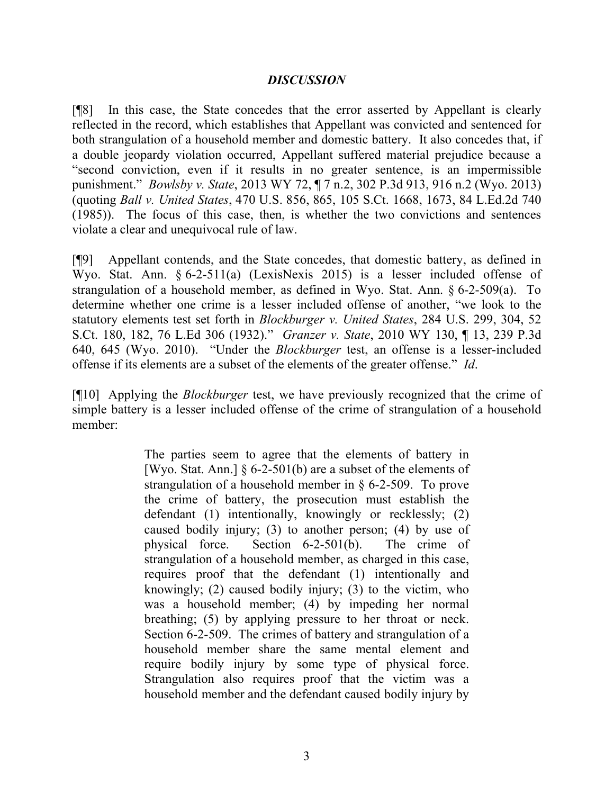#### *DISCUSSION*

[¶8] In this case, the State concedes that the error asserted by Appellant is clearly reflected in the record, which establishes that Appellant was convicted and sentenced for both strangulation of a household member and domestic battery. It also concedes that, if a double jeopardy violation occurred, Appellant suffered material prejudice because a "second conviction, even if it results in no greater sentence, is an impermissible punishment." *Bowlsby v. State*, 2013 WY 72, ¶ 7 n.2, 302 P.3d 913, 916 n.2 (Wyo. 2013) (quoting *Ball v. United States*, 470 U.S. 856, 865, 105 S.Ct. 1668, 1673, 84 L.Ed.2d 740 (1985)). The focus of this case, then, is whether the two convictions and sentences violate a clear and unequivocal rule of law.

[¶9] Appellant contends, and the State concedes, that domestic battery, as defined in Wyo. Stat. Ann. § 6-2-511(a) (LexisNexis 2015) is a lesser included offense of strangulation of a household member, as defined in Wyo. Stat. Ann. § 6-2-509(a). To determine whether one crime is a lesser included offense of another, "we look to the statutory elements test set forth in *Blockburger v. United States*, 284 U.S. 299, 304, 52 S.Ct. 180, 182, 76 L.Ed 306 (1932)." *Granzer v. State*, 2010 WY 130, ¶ 13, 239 P.3d 640, 645 (Wyo. 2010). "Under the *Blockburger* test, an offense is a lesser-included offense if its elements are a subset of the elements of the greater offense." *Id*.

[¶10] Applying the *Blockburger* test, we have previously recognized that the crime of simple battery is a lesser included offense of the crime of strangulation of a household member:

> The parties seem to agree that the elements of battery in [Wyo. Stat. Ann.]  $\S 6$ -2-501(b) are a subset of the elements of strangulation of a household member in § 6-2-509. To prove the crime of battery, the prosecution must establish the defendant (1) intentionally, knowingly or recklessly; (2) caused bodily injury; (3) to another person; (4) by use of physical force. Section 6-2-501(b). The crime of strangulation of a household member, as charged in this case, requires proof that the defendant (1) intentionally and knowingly; (2) caused bodily injury; (3) to the victim, who was a household member; (4) by impeding her normal breathing; (5) by applying pressure to her throat or neck. Section 6-2-509. The crimes of battery and strangulation of a household member share the same mental element and require bodily injury by some type of physical force. Strangulation also requires proof that the victim was a household member and the defendant caused bodily injury by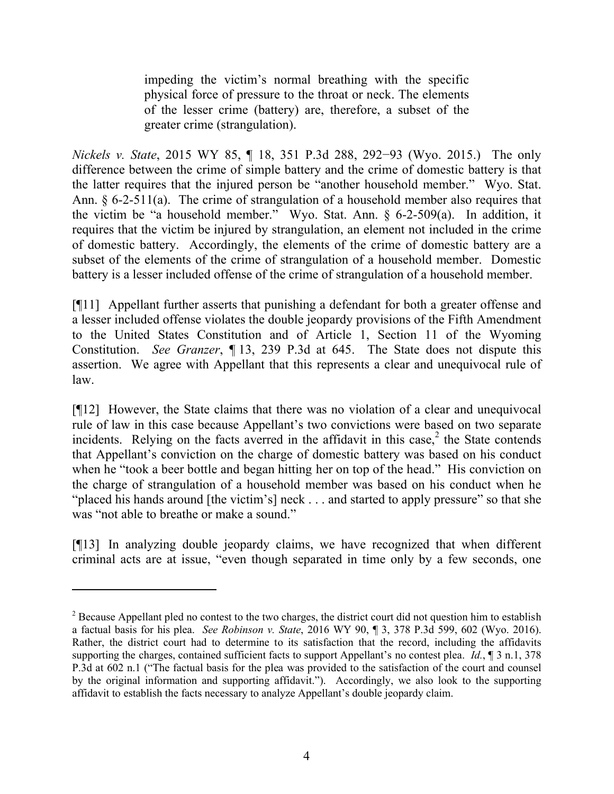impeding the victim's normal breathing with the specific physical force of pressure to the throat or neck. The elements of the lesser crime (battery) are, therefore, a subset of the greater crime (strangulation).

*Nickels v. State*, 2015 WY 85, ¶ 18, 351 P.3d 288, 292−93 (Wyo. 2015.) The only difference between the crime of simple battery and the crime of domestic battery is that the latter requires that the injured person be "another household member." Wyo. Stat. Ann. § 6-2-511(a). The crime of strangulation of a household member also requires that the victim be "a household member." Wyo. Stat. Ann. § 6-2-509(a). In addition, it requires that the victim be injured by strangulation, an element not included in the crime of domestic battery. Accordingly, the elements of the crime of domestic battery are a subset of the elements of the crime of strangulation of a household member. Domestic battery is a lesser included offense of the crime of strangulation of a household member.

[¶11] Appellant further asserts that punishing a defendant for both a greater offense and a lesser included offense violates the double jeopardy provisions of the Fifth Amendment to the United States Constitution and of Article 1, Section 11 of the Wyoming Constitution. *See Granzer*, ¶ 13, 239 P.3d at 645. The State does not dispute this assertion. We agree with Appellant that this represents a clear and unequivocal rule of law.

[¶12] However, the State claims that there was no violation of a clear and unequivocal rule of law in this case because Appellant's two convictions were based on two separate incidents. Relying on the facts averred in the affidavit in this case, $<sup>2</sup>$  the State contends</sup> that Appellant's conviction on the charge of domestic battery was based on his conduct when he "took a beer bottle and began hitting her on top of the head." His conviction on the charge of strangulation of a household member was based on his conduct when he "placed his hands around [the victim's] neck . . . and started to apply pressure" so that she was "not able to breathe or make a sound."

[¶13] In analyzing double jeopardy claims, we have recognized that when different criminal acts are at issue, "even though separated in time only by a few seconds, one

<sup>&</sup>lt;sup>2</sup> Because Appellant pled no contest to the two charges, the district court did not question him to establish a factual basis for his plea. *See Robinson v. State*, 2016 WY 90, ¶ 3, 378 P.3d 599, 602 (Wyo. 2016). Rather, the district court had to determine to its satisfaction that the record, including the affidavits supporting the charges, contained sufficient facts to support Appellant's no contest plea. *Id.*, ¶ 3 n.1, 378 P.3d at 602 n.1 ("The factual basis for the plea was provided to the satisfaction of the court and counsel by the original information and supporting affidavit."). Accordingly, we also look to the supporting affidavit to establish the facts necessary to analyze Appellant's double jeopardy claim.